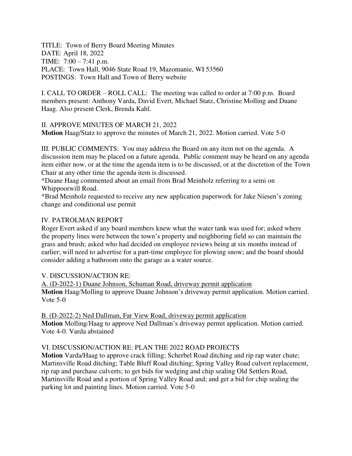TITLE: Town of Berry Board Meeting Minutes DATE: April 18, 2022 TIME: 7:00 – 7:41 p.m. PLACE: Town Hall, 9046 State Road 19, Mazomanie, WI 53560 POSTINGS: Town Hall and Town of Berry website

I. CALL TO ORDER – ROLL CALL: The meeting was called to order at 7:00 p.m. Board members present: Anthony Varda, David Evert, Michael Statz, Christine Molling and Duane Haag. Also present Clerk, Brenda Kahl.

II. APPROVE MINUTES OF MARCH 21, 2022 **Motion** Haag/Statz to approve the minutes of March 21, 2022. Motion carried. Vote 5-0

III. PUBLIC COMMENTS: You may address the Board on any item not on the agenda. A discussion item may be placed on a future agenda. Public comment may be heard on any agenda item either now, or at the time the agenda item is to be discussed, or at the discretion of the Town Chair at any other time the agenda item is discussed.

\*Duane Haag commented about an email from Brad Meinholz referring to a semi on Whippoorwill Road.

\*Brad Meinholz requested to receive any new application paperwork for Jake Niesen's zoning change and conditional use permit

## IV. PATROLMAN REPORT

Roger Evert asked if any board members knew what the water tank was used for; asked where the property lines were between the town's property and neighboring field so can maintain the grass and brush; asked who had decided on employee reviews being at six months instead of earlier; will need to advertise for a part-time employee for plowing snow; and the board should consider adding a bathroom onto the garage as a water source.

## V. DISCUSSION/ACTION RE:

A. (D-2022-1) Duane Johnson, Schuman Road, driveway permit application **Motion** Haag/Molling to approve Duane Johnson's driveway permit application. Motion carried. Vote 5-0

B. (D-2022-2) Ned Dallman, Far View Road, driveway permit application

**Motion** Molling/Haag to approve Ned Dallman's driveway permit application. Motion carried. Vote 4-0. Varda abstained

## VI. DISCUSSION/ACTION RE: PLAN THE 2022 ROAD PROJECTS

**Motion** Varda/Haag to approve crack filling; Scherbel Road ditching and rip rap water chute; Martinsville Road ditching; Table Bluff Road ditching; Spring Valley Road culvert replacement, rip rap and purchase culverts; to get bids for wedging and chip sealing Old Settlers Road, Martinsville Road and a portion of Spring Valley Road and; and get a bid for chip sealing the parking lot and painting lines. Motion carried. Vote 5-0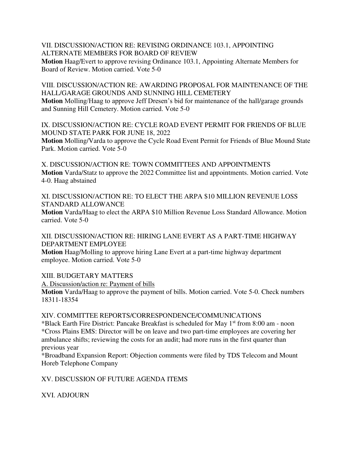VII. DISCUSSION/ACTION RE: REVISING ORDINANCE 103.1, APPOINTING ALTERNATE MEMBERS FOR BOARD OF REVIEW

**Motion** Haag/Evert to approve revising Ordinance 103.1, Appointing Alternate Members for Board of Review. Motion carried. Vote 5-0

VIII. DISCUSSION/ACTION RE: AWARDING PROPOSAL FOR MAINTENANCE OF THE HALL/GARAGE GROUNDS AND SUNNING HILL CEMETERY **Motion** Molling/Haag to approve Jeff Dresen's bid for maintenance of the hall/garage grounds and Sunning Hill Cemetery. Motion carried. Vote 5-0

IX. DISCUSSION/ACTION RE: CYCLE ROAD EVENT PERMIT FOR FRIENDS OF BLUE MOUND STATE PARK FOR JUNE 18, 2022 **Motion** Molling/Varda to approve the Cycle Road Event Permit for Friends of Blue Mound State Park. Motion carried. Vote 5-0

X. DISCUSSION/ACTION RE: TOWN COMMITTEES AND APPOINTMENTS **Motion** Varda/Statz to approve the 2022 Committee list and appointments. Motion carried. Vote 4-0. Haag abstained

XI. DISCUSSION/ACTION RE: TO ELECT THE ARPA \$10 MILLION REVENUE LOSS STANDARD ALLOWANCE

**Motion** Varda/Haag to elect the ARPA \$10 Million Revenue Loss Standard Allowance. Motion carried. Vote 5-0

XII. DISCUSSION/ACTION RE: HIRING LANE EVERT AS A PART-TIME HIGHWAY DEPARTMENT EMPLOYEE

**Motion** Haag/Molling to approve hiring Lane Evert at a part-time highway department employee. Motion carried. Vote 5-0

XIII. BUDGETARY MATTERS A. Discussion/action re: Payment of bills

**Motion** Varda/Haag to approve the payment of bills. Motion carried. Vote 5-0. Check numbers 18311-18354

XIV. COMMITTEE REPORTS/CORRESPONDENCE/COMMUNICATIONS

\*Black Earth Fire District: Pancake Breakfast is scheduled for May 1st from 8:00 am - noon \*Cross Plains EMS: Director will be on leave and two part-time employees are covering her ambulance shifts; reviewing the costs for an audit; had more runs in the first quarter than previous year

\*Broadband Expansion Report: Objection comments were filed by TDS Telecom and Mount Horeb Telephone Company

XV. DISCUSSION OF FUTURE AGENDA ITEMS

XVI. ADJOURN